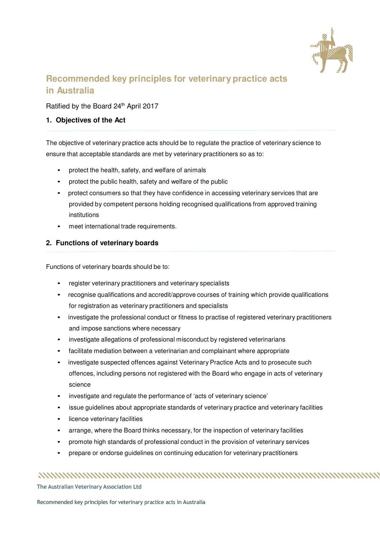

# **Recommended key principles for veterinary practice acts in Australia**

### Ratified by the Board 24<sup>th</sup> April 2017

### **1. Objectives of the Act**

The objective of veterinary practice acts should be to regulate the practice of veterinary science to ensure that acceptable standards are met by veterinary practitioners so as to:

- protect the health, safety, and welfare of animals
- protect the public health, safety and welfare of the public
- protect consumers so that they have confidence in accessing veterinary services that are provided by competent persons holding recognised qualifications from approved training institutions
- meet international trade requirements.

### **2. Functions of veterinary boards**

Functions of veterinary boards should be to:

- register veterinary practitioners and veterinary specialists
- recognise qualifications and accredit/approve courses of training which provide qualifications for registration as veterinary practitioners and specialists
- investigate the professional conduct or fitness to practise of registered veterinary practitioners and impose sanctions where necessary
- investigate allegations of professional misconduct by registered veterinarians
- facilitate mediation between a veterinarian and complainant where appropriate
- investigate suspected offences against Veterinary Practice Acts and to prosecute such offences, including persons not registered with the Board who engage in acts of veterinary science
- investigate and regulate the performance of 'acts of veterinary science'
- issue guidelines about appropriate standards of veterinary practice and veterinary facilities
- licence veterinary facilities
- arrange, where the Board thinks necessary, for the inspection of veterinary facilities
- promote high standards of professional conduct in the provision of veterinary services
- prepare or endorse guidelines on continuing education for veterinary practitioners

## 

**The Australian Veterinary Association Ltd**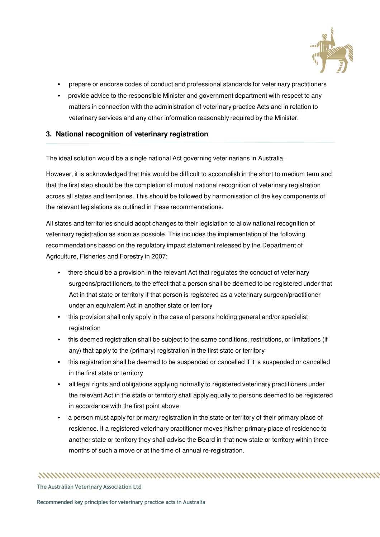

- prepare or endorse codes of conduct and professional standards for veterinary practitioners
- provide advice to the responsible Minister and government department with respect to any matters in connection with the administration of veterinary practice Acts and in relation to veterinary services and any other information reasonably required by the Minister.

### **3. National recognition of veterinary registration**

The ideal solution would be a single national Act governing veterinarians in Australia.

However, it is acknowledged that this would be difficult to accomplish in the short to medium term and that the first step should be the completion of mutual national recognition of veterinary registration across all states and territories. This should be followed by harmonisation of the key components of the relevant legislations as outlined in these recommendations.

All states and territories should adopt changes to their legislation to allow national recognition of veterinary registration as soon as possible. This includes the implementation of the following recommendations based on the regulatory impact statement released by the Department of Agriculture, Fisheries and Forestry in 2007:

- there should be a provision in the relevant Act that regulates the conduct of veterinary surgeons/practitioners, to the effect that a person shall be deemed to be registered under that Act in that state or territory if that person is registered as a veterinary surgeon/practitioner under an equivalent Act in another state or territory
- this provision shall only apply in the case of persons holding general and/or specialist registration
- this deemed registration shall be subject to the same conditions, restrictions, or limitations (if any) that apply to the (primary) registration in the first state or territory
- this registration shall be deemed to be suspended or cancelled if it is suspended or cancelled in the first state or territory
- all legal rights and obligations applying normally to registered veterinary practitioners under the relevant Act in the state or territory shall apply equally to persons deemed to be registered in accordance with the first point above
- a person must apply for primary registration in the state or territory of their primary place of residence. If a registered veterinary practitioner moves his/her primary place of residence to another state or territory they shall advise the Board in that new state or territory within three months of such a move or at the time of annual re-registration.

**The Australian Veterinary Association Ltd**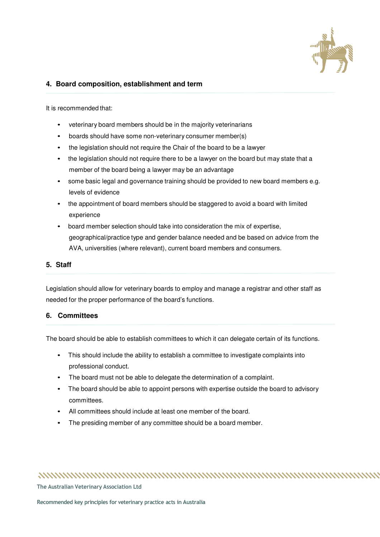

### **4. Board composition, establishment and term**

It is recommended that:

- veterinary board members should be in the majority veterinarians
- boards should have some non-veterinary consumer member(s)
- the legislation should not require the Chair of the board to be a lawyer
- the legislation should not require there to be a lawyer on the board but may state that a member of the board being a lawyer may be an advantage
- some basic legal and governance training should be provided to new board members e.g. levels of evidence
- the appointment of board members should be staggered to avoid a board with limited experience
- board member selection should take into consideration the mix of expertise, geographical/practice type and gender balance needed and be based on advice from the AVA, universities (where relevant), current board members and consumers.

### **5. Staff**

Legislation should allow for veterinary boards to employ and manage a registrar and other staff as needed for the proper performance of the board's functions.

### **6. Committees**

The board should be able to establish committees to which it can delegate certain of its functions.

- This should include the ability to establish a committee to investigate complaints into professional conduct.
- The board must not be able to delegate the determination of a complaint.
- The board should be able to appoint persons with expertise outside the board to advisory committees.
- All committees should include at least one member of the board.
- The presiding member of any committee should be a board member.

### 

**The Australian Veterinary Association Ltd**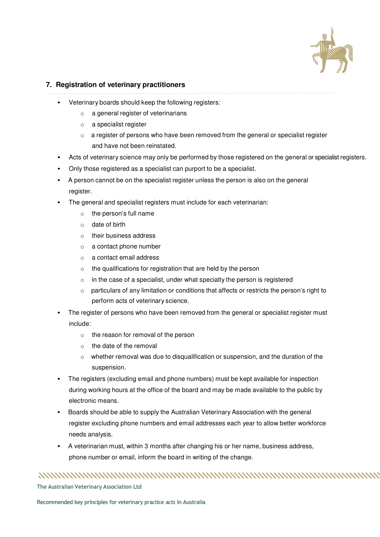

### **7. Registration of veterinary practitioners**

- Veterinary boards should keep the following registers:
	- o a general register of veterinarians
	- o a specialist register
	- o a register of persons who have been removed from the general or specialist register and have not been reinstated.
- Acts of veterinary science may only be performed by those registered on the general or specialist registers.
- Only those registered as a specialist can purport to be a specialist.
- A person cannot be on the specialist register unless the person is also on the general register.
- The general and specialist registers must include for each veterinarian:
	- o the person's full name
	- o date of birth
	- o their business address
	- o a contact phone number
	- o a contact email address
	- o the qualifications for registration that are held by the person
	- $\circ$  in the case of a specialist, under what specialty the person is registered
	- o particulars of any limitation or conditions that affects or restricts the person's right to perform acts of veterinary science.
- The register of persons who have been removed from the general or specialist register must include:
	- o the reason for removal of the person
	- o the date of the removal
	- $\circ$  whether removal was due to disqualification or suspension, and the duration of the suspension.
- The registers (excluding email and phone numbers) must be kept available for inspection during working hours at the office of the board and may be made available to the public by electronic means.
- Boards should be able to supply the Australian Veterinary Association with the general register excluding phone numbers and email addresses each year to allow better workforce needs analysis.
- A veterinarian must, within 3 months after changing his or her name, business address, phone number or email, inform the board in writing of the change.

**The Australian Veterinary Association Ltd**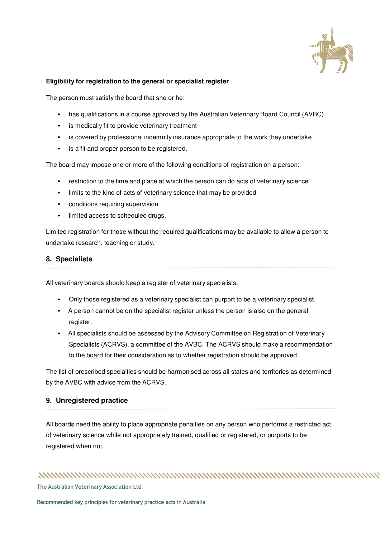

### **Eligibility for registration to the general or specialist register**

The person must satisfy the board that she or he:

- has qualifications in a course approved by the Australian Veterinary Board Council (AVBC)
- is medically fit to provide veterinary treatment
- is covered by professional indemnity insurance appropriate to the work they undertake
- is a fit and proper person to be registered.

The board may impose one or more of the following conditions of registration on a person:

- restriction to the time and place at which the person can do acts of veterinary science
- limits to the kind of acts of veterinary science that may be provided
- conditions requiring supervision
- limited access to scheduled drugs.

Limited registration for those without the required qualifications may be available to allow a person to undertake research, teaching or study.

### **8. Specialists**

All veterinary boards should keep a register of veterinary specialists.

- Only those registered as a veterinary specialist can purport to be a veterinary specialist.
- A person cannot be on the specialist register unless the person is also on the general register.
- All specialists should be assessed by the Advisory Committee on Registration of Veterinary Specialists (ACRVS), a committee of the AVBC. The ACRVS should make a recommendation to the board for their consideration as to whether registration should be approved.

The list of prescribed specialties should be harmonised across all states and territories as determined by the AVBC with advice from the ACRVS.

### **9. Unregistered practice**

All boards need the ability to place appropriate penalties on any person who performs a restricted act of veterinary science while not appropriately trained, qualified or registered, or purports to be registered when not.

### 

**The Australian Veterinary Association Ltd**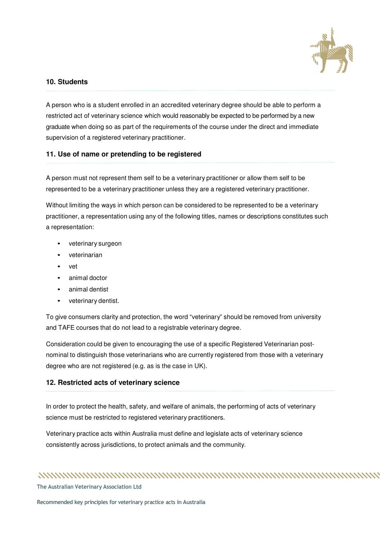

### **10. Students**

A person who is a student enrolled in an accredited veterinary degree should be able to perform a restricted act of veterinary science which would reasonably be expected to be performed by a new graduate when doing so as part of the requirements of the course under the direct and immediate supervision of a registered veterinary practitioner.

### **11. Use of name or pretending to be registered**

A person must not represent them self to be a veterinary practitioner or allow them self to be represented to be a veterinary practitioner unless they are a registered veterinary practitioner.

Without limiting the ways in which person can be considered to be represented to be a veterinary practitioner, a representation using any of the following titles, names or descriptions constitutes such a representation:

- veterinary surgeon
- veterinarian
- vet
- animal doctor
- animal dentist
- veterinary dentist.

To give consumers clarity and protection, the word "veterinary" should be removed from university and TAFE courses that do not lead to a registrable veterinary degree.

Consideration could be given to encouraging the use of a specific Registered Veterinarian postnominal to distinguish those veterinarians who are currently registered from those with a veterinary degree who are not registered (e.g. as is the case in UK).

### **12. Restricted acts of veterinary science**

In order to protect the health, safety, and welfare of animals, the performing of acts of veterinary science must be restricted to registered veterinary practitioners.

Veterinary practice acts within Australia must define and legislate acts of veterinary science consistently across jurisdictions, to protect animals and the community.

**The Australian Veterinary Association Ltd**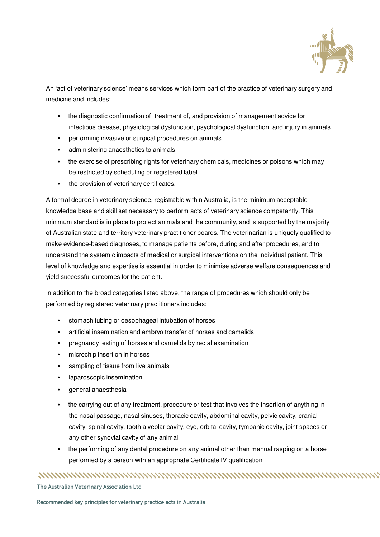

An 'act of veterinary science' means services which form part of the practice of veterinary surgery and medicine and includes:

- the diagnostic confirmation of, treatment of, and provision of management advice for infectious disease, physiological dysfunction, psychological dysfunction, and injury in animals
- performing invasive or surgical procedures on animals
- administering anaesthetics to animals
- the exercise of prescribing rights for veterinary chemicals, medicines or poisons which may be restricted by scheduling or registered label
- the provision of veterinary certificates.

A formal degree in veterinary science, registrable within Australia, is the minimum acceptable knowledge base and skill set necessary to perform acts of veterinary science competently. This minimum standard is in place to protect animals and the community, and is supported by the majority of Australian state and territory veterinary practitioner boards. The veterinarian is uniquely qualified to make evidence-based diagnoses, to manage patients before, during and after procedures, and to understand the systemic impacts of medical or surgical interventions on the individual patient. This level of knowledge and expertise is essential in order to minimise adverse welfare consequences and yield successful outcomes for the patient.

In addition to the broad categories listed above, the range of procedures which should only be performed by registered veterinary practitioners includes:

- stomach tubing or oesophageal intubation of horses
- artificial insemination and embryo transfer of horses and camelids
- pregnancy testing of horses and camelids by rectal examination
- microchip insertion in horses
- sampling of tissue from live animals
- laparoscopic insemination
- general anaesthesia
- the carrying out of any treatment, procedure or test that involves the insertion of anything in the nasal passage, nasal sinuses, thoracic cavity, abdominal cavity, pelvic cavity, cranial cavity, spinal cavity, tooth alveolar cavity, eye, orbital cavity, tympanic cavity, joint spaces or any other synovial cavity of any animal
- the performing of any dental procedure on any animal other than manual rasping on a horse performed by a person with an appropriate Certificate IV qualification

**The Australian Veterinary Association Ltd**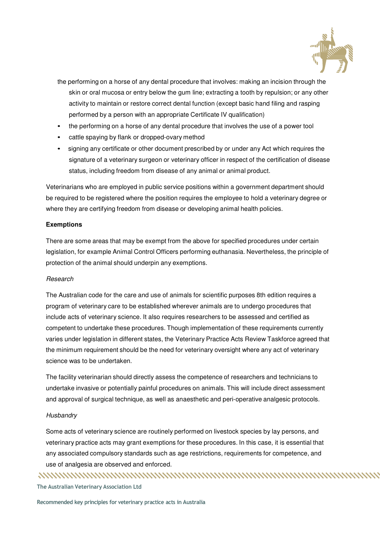

- the performing on a horse of any dental procedure that involves: making an incision through the skin or oral mucosa or entry below the gum line; extracting a tooth by repulsion; or any other activity to maintain or restore correct dental function (except basic hand filing and rasping performed by a person with an appropriate Certificate IV qualification)
- the performing on a horse of any dental procedure that involves the use of a power tool
- cattle spaying by flank or dropped-ovary method
- signing any certificate or other document prescribed by or under any Act which requires the signature of a veterinary surgeon or veterinary officer in respect of the certification of disease status, including freedom from disease of any animal or animal product.

Veterinarians who are employed in public service positions within a government department should be required to be registered where the position requires the employee to hold a veterinary degree or where they are certifying freedom from disease or developing animal health policies.

### **Exemptions**

There are some areas that may be exempt from the above for specified procedures under certain legislation, for example Animal Control Officers performing euthanasia. Nevertheless, the principle of protection of the animal should underpin any exemptions.

### Research

The Australian code for the care and use of animals for scientific purposes 8th edition requires a program of veterinary care to be established wherever animals are to undergo procedures that include acts of veterinary science. It also requires researchers to be assessed and certified as competent to undertake these procedures. Though implementation of these requirements currently varies under legislation in different states, the Veterinary Practice Acts Review Taskforce agreed that the minimum requirement should be the need for veterinary oversight where any act of veterinary science was to be undertaken.

The facility veterinarian should directly assess the competence of researchers and technicians to undertake invasive or potentially painful procedures on animals. This will include direct assessment and approval of surgical technique, as well as anaesthetic and peri-operative analgesic protocols.

### **Husbandry**

Some acts of veterinary science are routinely performed on livestock species by lay persons, and veterinary practice acts may grant exemptions for these procedures. In this case, it is essential that any associated compulsory standards such as age restrictions, requirements for competence, and use of analgesia are observed and enforced.

**The Australian Veterinary Association Ltd**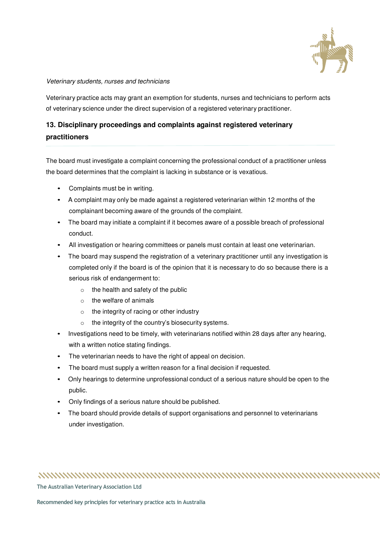

### Veterinary students, nurses and technicians

Veterinary practice acts may grant an exemption for students, nurses and technicians to perform acts of veterinary science under the direct supervision of a registered veterinary practitioner.

## **13. Disciplinary proceedings and complaints against registered veterinary practitioners**

The board must investigate a complaint concerning the professional conduct of a practitioner unless the board determines that the complaint is lacking in substance or is vexatious.

- Complaints must be in writing.
- A complaint may only be made against a registered veterinarian within 12 months of the complainant becoming aware of the grounds of the complaint.
- The board may initiate a complaint if it becomes aware of a possible breach of professional conduct.
- All investigation or hearing committees or panels must contain at least one veterinarian.
- The board may suspend the registration of a veterinary practitioner until any investigation is completed only if the board is of the opinion that it is necessary to do so because there is a serious risk of endangerment to:
	- $\circ$  the health and safety of the public
	- o the welfare of animals
	- o the integrity of racing or other industry
	- o the integrity of the country's biosecurity systems.
- Investigations need to be timely, with veterinarians notified within 28 days after any hearing, with a written notice stating findings.
- The veterinarian needs to have the right of appeal on decision.
- The board must supply a written reason for a final decision if requested.
- Only hearings to determine unprofessional conduct of a serious nature should be open to the public.
- Only findings of a serious nature should be published.
- The board should provide details of support organisations and personnel to veterinarians under investigation.

##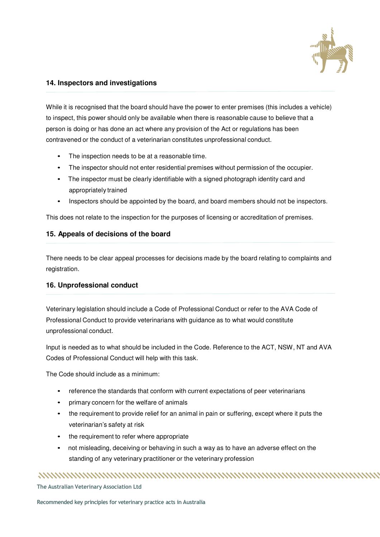

### **14. Inspectors and investigations**

While it is recognised that the board should have the power to enter premises (this includes a vehicle) to inspect, this power should only be available when there is reasonable cause to believe that a person is doing or has done an act where any provision of the Act or regulations has been contravened or the conduct of a veterinarian constitutes unprofessional conduct.

- The inspection needs to be at a reasonable time.
- The inspector should not enter residential premises without permission of the occupier.
- The inspector must be clearly identifiable with a signed photograph identity card and appropriately trained
- Inspectors should be appointed by the board, and board members should not be inspectors.

This does not relate to the inspection for the purposes of licensing or accreditation of premises.

### **15. Appeals of decisions of the board**

There needs to be clear appeal processes for decisions made by the board relating to complaints and registration.

### **16. Unprofessional conduct**

Veterinary legislation should include a Code of Professional Conduct or refer to the AVA Code of Professional Conduct to provide veterinarians with guidance as to what would constitute unprofessional conduct.

Input is needed as to what should be included in the Code. Reference to the ACT, NSW, NT and AVA Codes of Professional Conduct will help with this task.

The Code should include as a minimum:

- reference the standards that conform with current expectations of peer veterinarians
- primary concern for the welfare of animals
- the requirement to provide relief for an animal in pain or suffering, except where it puts the veterinarian's safety at risk
- the requirement to refer where appropriate
- not misleading, deceiving or behaving in such a way as to have an adverse effect on the standing of any veterinary practitioner or the veterinary profession

### 

**The Australian Veterinary Association Ltd**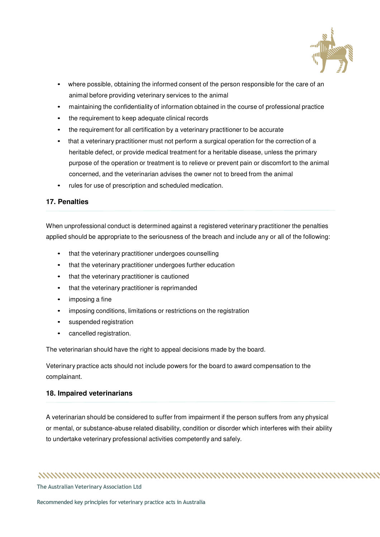

- where possible, obtaining the informed consent of the person responsible for the care of an animal before providing veterinary services to the animal
- maintaining the confidentiality of information obtained in the course of professional practice
- the requirement to keep adequate clinical records
- the requirement for all certification by a veterinary practitioner to be accurate
- that a veterinary practitioner must not perform a surgical operation for the correction of a heritable defect, or provide medical treatment for a heritable disease, unless the primary purpose of the operation or treatment is to relieve or prevent pain or discomfort to the animal concerned, and the veterinarian advises the owner not to breed from the animal
- rules for use of prescription and scheduled medication.

### **17. Penalties**

When unprofessional conduct is determined against a registered veterinary practitioner the penalties applied should be appropriate to the seriousness of the breach and include any or all of the following:

- that the veterinary practitioner undergoes counselling
- that the veterinary practitioner undergoes further education
- that the veterinary practitioner is cautioned
- that the veterinary practitioner is reprimanded
- imposing a fine
- imposing conditions, limitations or restrictions on the registration
- suspended registration
- cancelled registration.

The veterinarian should have the right to appeal decisions made by the board.

Veterinary practice acts should not include powers for the board to award compensation to the complainant.

### **18. Impaired veterinarians**

A veterinarian should be considered to suffer from impairment if the person suffers from any physical or mental, or substance-abuse related disability, condition or disorder which interferes with their ability to undertake veterinary professional activities competently and safely.

# 

**The Australian Veterinary Association Ltd**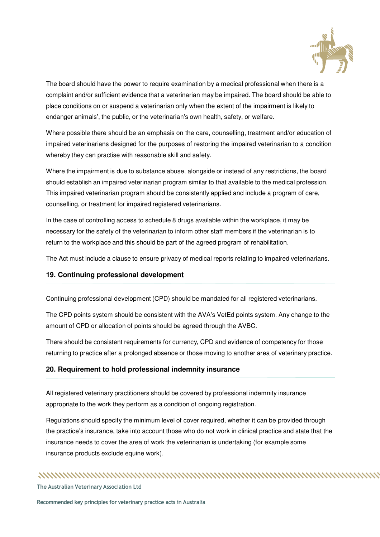

The board should have the power to require examination by a medical professional when there is a complaint and/or sufficient evidence that a veterinarian may be impaired. The board should be able to place conditions on or suspend a veterinarian only when the extent of the impairment is likely to endanger animals', the public, or the veterinarian's own health, safety, or welfare.

Where possible there should be an emphasis on the care, counselling, treatment and/or education of impaired veterinarians designed for the purposes of restoring the impaired veterinarian to a condition whereby they can practise with reasonable skill and safety.

Where the impairment is due to substance abuse, alongside or instead of any restrictions, the board should establish an impaired veterinarian program similar to that available to the medical profession. This impaired veterinarian program should be consistently applied and include a program of care, counselling, or treatment for impaired registered veterinarians.

In the case of controlling access to schedule 8 drugs available within the workplace, it may be necessary for the safety of the veterinarian to inform other staff members if the veterinarian is to return to the workplace and this should be part of the agreed program of rehabilitation.

The Act must include a clause to ensure privacy of medical reports relating to impaired veterinarians.

### **19. Continuing professional development**

Continuing professional development (CPD) should be mandated for all registered veterinarians.

The CPD points system should be consistent with the AVA's VetEd points system. Any change to the amount of CPD or allocation of points should be agreed through the AVBC.

There should be consistent requirements for currency, CPD and evidence of competency for those returning to practice after a prolonged absence or those moving to another area of veterinary practice.

### **20. Requirement to hold professional indemnity insurance**

All registered veterinary practitioners should be covered by professional indemnity insurance appropriate to the work they perform as a condition of ongoing registration.

Regulations should specify the minimum level of cover required, whether it can be provided through the practice's insurance, take into account those who do not work in clinical practice and state that the insurance needs to cover the area of work the veterinarian is undertaking (for example some insurance products exclude equine work).

### 

**The Australian Veterinary Association Ltd**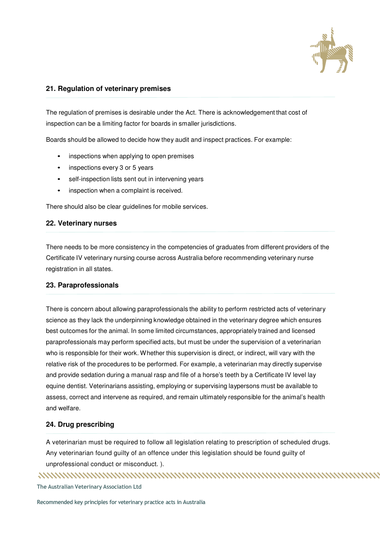

### **21. Regulation of veterinary premises**

The regulation of premises is desirable under the Act. There is acknowledgement that cost of inspection can be a limiting factor for boards in smaller jurisdictions.

Boards should be allowed to decide how they audit and inspect practices. For example:

- inspections when applying to open premises
- inspections every 3 or 5 years
- self-inspection lists sent out in intervening years
- inspection when a complaint is received.

There should also be clear guidelines for mobile services.

### **22. Veterinary nurses**

There needs to be more consistency in the competencies of graduates from different providers of the Certificate IV veterinary nursing course across Australia before recommending veterinary nurse registration in all states.

### **23. Paraprofessionals**

There is concern about allowing paraprofessionals the ability to perform restricted acts of veterinary science as they lack the underpinning knowledge obtained in the veterinary degree which ensures best outcomes for the animal. In some limited circumstances, appropriately trained and licensed paraprofessionals may perform specified acts, but must be under the supervision of a veterinarian who is responsible for their work. Whether this supervision is direct, or indirect, will vary with the relative risk of the procedures to be performed. For example, a veterinarian may directly supervise and provide sedation during a manual rasp and file of a horse's teeth by a Certificate IV level lay equine dentist. Veterinarians assisting, employing or supervising laypersons must be available to assess, correct and intervene as required, and remain ultimately responsible for the animal's health and welfare.

### **24. Drug prescribing**

A veterinarian must be required to follow all legislation relating to prescription of scheduled drugs. Any veterinarian found guilty of an offence under this legislation should be found guilty of unprofessional conduct or misconduct. ).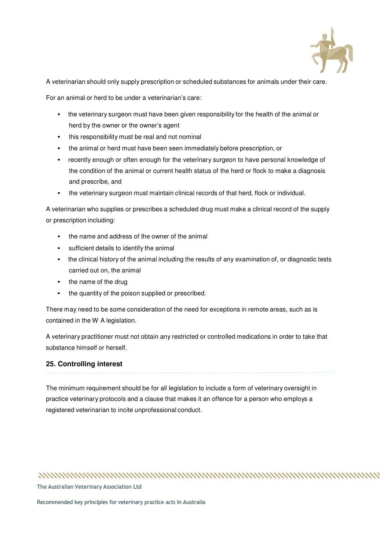

A veterinarian should only supply prescription or scheduled substances for animals under their care.

For an animal or herd to be under a veterinarian's care:

- the veterinary surgeon must have been given responsibility for the health of the animal or herd by the owner or the owner's agent
- this responsibility must be real and not nominal
- the animal or herd must have been seen immediately before prescription, or
- recently enough or often enough for the veterinary surgeon to have personal knowledge of the condition of the animal or current health status of the herd or flock to make a diagnosis and prescribe, and
- the veterinary surgeon must maintain clinical records of that herd, flock or individual.

A veterinarian who supplies or prescribes a scheduled drug must make a clinical record of the supply or prescription including:

- the name and address of the owner of the animal
- sufficient details to identify the animal
- the clinical history of the animal including the results of any examination of, or diagnostic tests carried out on, the animal
- the name of the drug
- the quantity of the poison supplied or prescribed.

There may need to be some consideration of the need for exceptions in remote areas, such as is contained in the W A legislation.

A veterinary practitioner must not obtain any restricted or controlled medications in order to take that substance himself or herself.

### **25. Controlling interest**

The minimum requirement should be for all legislation to include a form of veterinary oversight in practice veterinary protocols and a clause that makes it an offence for a person who employs a registered veterinarian to incite unprofessional conduct.

##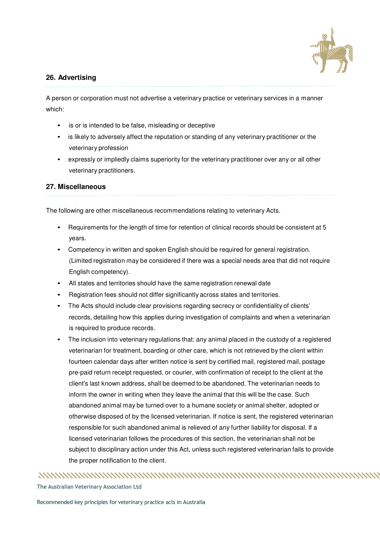

### **26. Advertising**

A person or corporation must not advertise a veterinary practice or veterinary services in a manner which:

- is or is intended to be false, misleading or deceptive
- is likely to adversely affect the reputation or standing of any veterinary practitioner or the veterinary profession
- expressly or impliedly claims superiority for the veterinary practitioner over any or all other veterinary practitioners.

### **27. Miscellaneous**

The following are other miscellaneous recommendations relating to veterinary Acts.

- Requirements for the length of time for retention of clinical records should be consistent at 5 years.
- Competency in written and spoken English should be required for general registration. (Limited registration may be considered if there was a special needs area that did not require English competency).
- All states and territories should have the same registration renewal date
- Registration fees should not differ significantly across states and territories.
- The Acts should include clear provisions regarding secrecy or confidentiality of clients' records, detailing how this applies during investigation of complaints and when a veterinarian is required to produce records.
- The inclusion into veterinary regulations that: any animal placed in the custody of a registered veterinarian for treatment, boarding or other care, which is not retrieved by the client within fourteen calendar days after written notice is sent by certified mail, registered mail, postage pre-paid return receipt requested, or courier, with confirmation of receipt to the client at the client's last known address, shall be deemed to be abandoned. The veterinarian needs to inform the owner in writing when they leave the animal that this will be the case. Such abandoned animal may be turned over to a humane society or animal shelter, adopted or otherwise disposed of by the licensed veterinarian. If notice is sent, the registered veterinarian responsible for such abandoned animal is relieved of any further liability for disposal. If a licensed veterinarian follows the procedures of this section, the veterinarian shall not be subject to disciplinary action under this Act, unless such registered veterinarian fails to provide the proper notification to the client.